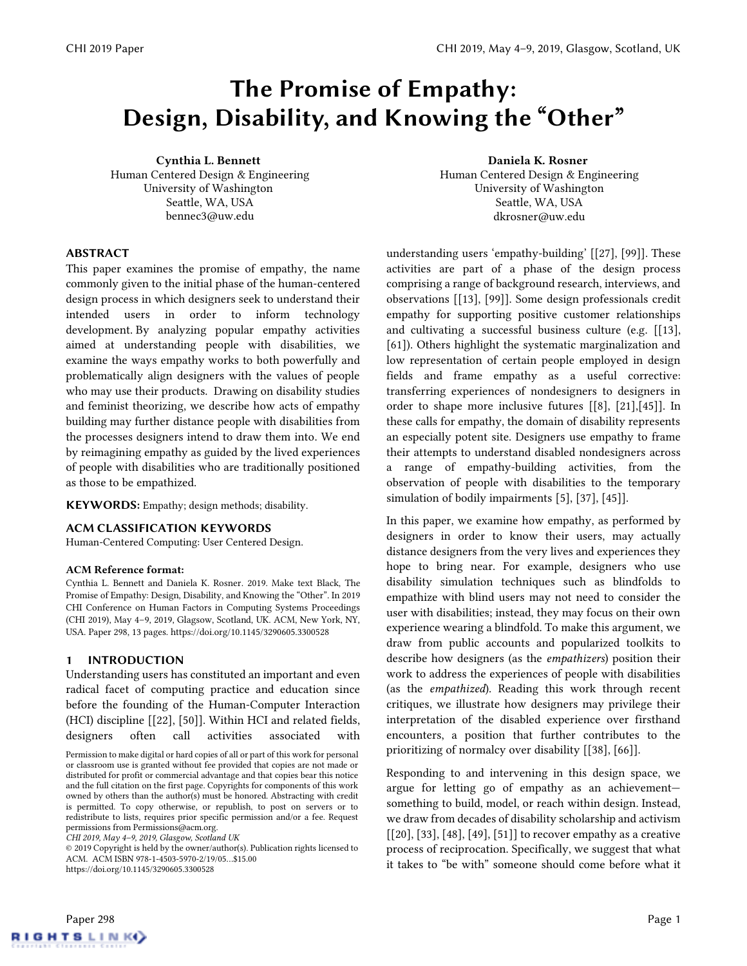# The Promise of Empathy: Design, Disability, and Knowing the "Other"

Cynthia L. Bennett Human Centered Design & Engineering University of Washington Seattle, WA, USA bennec3@uw.edu

#### ABSTRACT

This paper examines the promise of empathy, the name commonly given to the initial phase of the human-centered design process in which designers seek to understand their intended users in order to inform technology development. By analyzing popular empathy activities aimed at understanding people with disabilities, we examine the ways empathy works to both powerfully and problematically align designers with the values of people who may use their products. Drawing on disability studies and feminist theorizing, we describe how acts of empathy building may further distance people with disabilities from the processes designers intend to draw them into. We end by reimagining empathy as guided by the lived experiences of people with disabilities who are traditionally positioned as those to be empathized.

KEYWORDS: Empathy; design methods; disability.

#### ACM CLASSIFICATION KEYWORDS

Human-Centered Computing: User Centered Design.

#### ACM Reference format:

Cynthia L. Bennett and Daniela K. Rosner. 2019. Make text Black, The Promise of Empathy: Design, Disability, and Knowing the "Other". In 2019 CHI Conference on Human Factors in Computing Systems Proceedings (CHI 2019), May 4–9, 2019, Glagsow, Scotland, UK. ACM, New York, NY, USA. Paper 298, 13 pages. https://doi.org/10.1145/3290605.3300528

#### 1 INTRODUCTION

Understanding users has constituted an important and even radical facet of computing practice and education since before the founding of the Human-Computer Interaction (HCI) discipline [\[\[22\],](#page-10-0) [\[50\]\]](#page-11-0). Within HCI and related fields, designers often call activities associated with

*CHI 2019, May 4–9, 2019, Glasgow, Scotland UK* 

© 2019 Copyright is held by the owner/author(s). Publication rights licensed to ACM. ACM ISBN 978-1-4503-5970-2/19/05…\$15.00 https://doi.org/10.1145/3290605.3300528

Daniela K. Rosner Human Centered Design & Engineering University of Washington Seattle, WA, USA [dkrosner@uw.edu](mailto:dkrosner@uw.edu)

understanding users 'empathy-building' [\[\[27\],](#page-10-1) [\[99\]\]](#page-12-0). These activities are part of a phase of the design process comprising a range of background research, interviews, and observations [\[\[13\],](#page-10-2) [\[99\]\]](#page-12-0). Some design professionals credit empathy for supporting positive customer relationships and cultivating a successful business culture (e.g. [\[\[13\],](#page-10-2) [\[61\]\)](#page-11-1). Others highlight the systematic marginalization and low representation of certain people employed in design fields and frame empathy as a useful corrective: transferring experiences of nondesigners to designers in order to shape more inclusive futures [\[\[8\],](#page-9-0) [\[21\]](#page-10-3)[,\[45\]\]](#page-11-2). In these calls for empathy, the domain of disability represents an especially potent site. Designers use empathy to frame their attempts to understand disabled nondesigners across a range of empathy-building activities, from the observation of people with disabilities to the temporary simulation of bodily impairments [\[5\],](#page-9-1) [\[37\],](#page-10-4) [\[45\]\]](#page-11-2).

In this paper, we examine how empathy, as performed by designers in order to know their users, may actually distance designers from the very lives and experiences they hope to bring near. For example, designers who use disability simulation techniques such as blindfolds to empathize with blind users may not need to consider the user with disabilities; instead, they may focus on their own experience wearing a blindfold. To make this argument, we draw from public accounts and popularized toolkits to describe how designers (as the *empathizers*) position their work to address the experiences of people with disabilities (as the *empathized*). Reading this work through recent critiques, we illustrate how designers may privilege their interpretation of the disabled experience over firsthand encounters, a position that further contributes to the prioritizing of normalcy over disability [\[\[38\],](#page-10-5) [\[66\]\]](#page-11-3).

Responding to and intervening in this design space, we argue for letting go of empathy as an achievement something to build, model, or reach within design. Instead, we draw from decades of disability scholarship and activism  $[20]$ ,  $[33]$ ,  $[48]$ ,  $[49]$ ,  $[51]$  to recover empathy as a creative process of reciprocation. Specifically, we suggest that what it takes to "be with" someone should come before what it



Permission to make digital or hard copies of all or part of this work for personal or classroom use is granted without fee provided that copies are not made or distributed for profit or commercial advantage and that copies bear this notice and the full citation on the first page. Copyrights for components of this work owned by others than the author(s) must be honored. Abstracting with credit is permitted. To copy otherwise, or republish, to post on servers or to redistribute to lists, requires prior specific permission and/or a fee. Request permissions from Permissions@acm.org.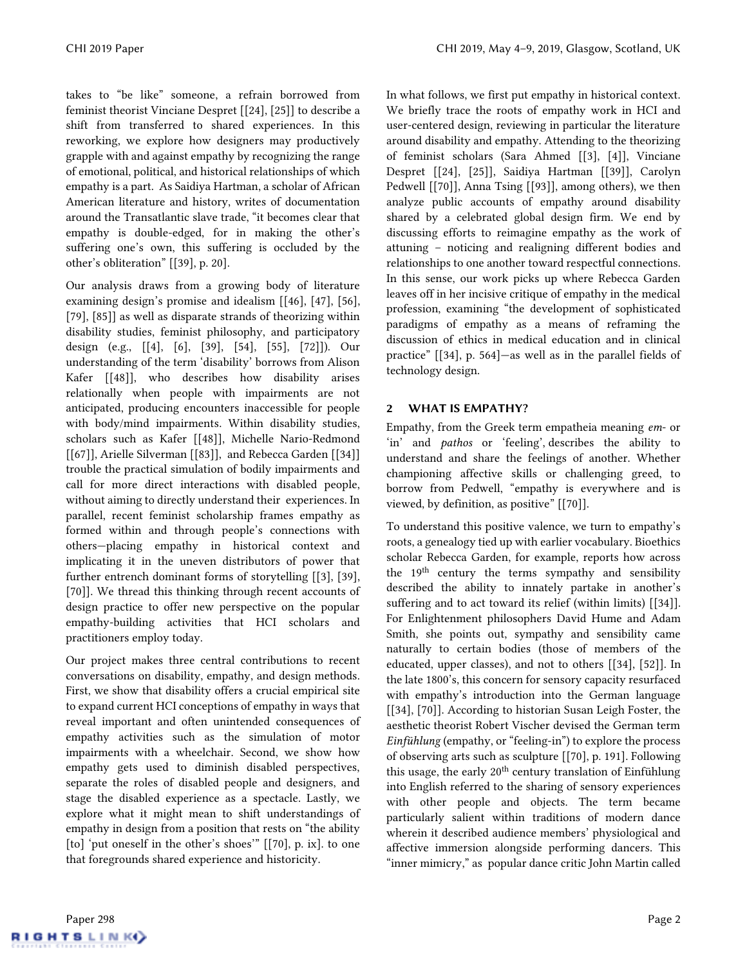takes to "be like" someone, a refrain borrowed from feminist theorist Vinciane Despret [\[\[24\],](#page-10-8) [\[25\]\]](#page-10-9) to describe a shift from transferred to shared experiences. In this reworking, we explore how designers may productively grapple with and against empathy by recognizing the range of emotional, political, and historical relationships of which empathy is a part. As Saidiya Hartman, a scholar of African American literature and history, writes of documentation around the Transatlantic slave trade, "it becomes clear that empathy is double-edged, for in making the other's suffering one's own, this suffering is occluded by the other's obliteration" [\[\[39\],](#page-10-10) p. 20].

Our analysis draws from a growing body of literature examining design's promise and idealism [\[\[46\],](#page-11-7) [\[47\],](#page-11-8) [\[56\],](#page-11-9) [\[79\],](#page-12-1) [\[85\]\]](#page-12-2) as well as disparate strands of theorizing within disability studies, feminist philosophy, and participatory design (e.g., [\[\[4\],](#page-9-2) [\[6\],](#page-9-3) [\[39\],](#page-10-10) [\[54\],](#page-11-10) [\[55\],](#page-11-11) [\[72\]\]](#page-11-12)). Our understanding of the term 'disability' borrows from Alison Kafer [\[\[48\]\]](#page-11-4), who describes how disability arises relationally when people with impairments are not anticipated, producing encounters inaccessible for people with body/mind impairments. Within disability studies, scholars such as Kafer [\[\[48\]\]](#page-11-4), Michelle Nario-Redmond [\[\[67\]\]](#page-11-13), Arielle Silverman [\[\[83\]\]](#page-12-3), and Rebecca Garden [\[\[34\]\]](#page-10-11) trouble the practical simulation of bodily impairments and call for more direct interactions with disabled people, without aiming to directly understand their experiences. In parallel, recent feminist scholarship frames empathy as formed within and through people's connections with others—placing empathy in historical context and implicating it in the uneven distributors of power that further entrench dominant forms of storytelling [\[\[3\],](#page-9-4) [\[39\],](#page-10-10) [\[70\]\]](#page-11-14). We thread this thinking through recent accounts of design practice to offer new perspective on the popular empathy-building activities that HCI scholars and practitioners employ today.

Our project makes three central contributions to recent conversations on disability, empathy, and design methods. First, we show that disability offers a crucial empirical site to expand current HCI conceptions of empathy in ways that reveal important and often unintended consequences of empathy activities such as the simulation of motor impairments with a wheelchair. Second, we show how empathy gets used to diminish disabled perspectives, separate the roles of disabled people and designers, and stage the disabled experience as a spectacle. Lastly, we explore what it might mean to shift understandings of empathy in design from a position that rests on "the ability [to] 'put oneself in the other's shoes'" [\[\[70\],](#page-11-14) p. ix]. to one that foregrounds shared experience and historicity.

In what follows, we first put empathy in historical context. We briefly trace the roots of empathy work in HCI and user-centered design, reviewing in particular the literature around disability and empathy. Attending to the theorizing of feminist scholars (Sara Ahmed [\[\[3\],](#page-9-4) [\[4\]\]](#page-9-2), Vinciane Despret [\[\[24\],](#page-10-8) [\[25\]\]](#page-10-9), Saidiya Hartman [\[\[39\]\]](#page-10-10), Carolyn Pedwell [\[\[70\]\]](#page-11-14), Anna Tsing [\[\[93\]\]](#page-12-4), among others), we then analyze public accounts of empathy around disability shared by a celebrated global design firm. We end by discussing efforts to reimagine empathy as the work of attuning – noticing and realigning different bodies and relationships to one another toward respectful connections. In this sense, our work picks up where Rebecca Garden leaves off in her incisive critique of empathy in the medical profession, examining "the development of sophisticated paradigms of empathy as a means of reframing the discussion of ethics in medical education and in clinical practice" [\[\[34\],](#page-10-11) p. 564]—as well as in the parallel fields of technology design.

## 2 WHAT IS EMPATHY?

Empathy, from the Greek term empatheia meaning *em*- or 'in' and *pathos* or 'feeling', describes the ability to understand and share the feelings of another. Whether championing affective skills or challenging greed, to borrow from Pedwell, "empathy is everywhere and is viewed, by definition, as positive" [\[\[70\]\]](#page-11-14).

To understand this positive valence, we turn to empathy's roots, a genealogy tied up with earlier vocabulary. Bioethics scholar Rebecca Garden, for example, reports how across the 19th century the terms sympathy and sensibility described the ability to innately partake in another's suffering and to act toward its relief (within limits) [\[\[34\]\]](#page-10-11). For Enlightenment philosophers David Hume and Adam Smith, she points out, sympathy and sensibility came naturally to certain bodies (those of members of the educated, upper classes), and not to others [\[\[34\],](#page-10-11) [\[52\]\]](#page-11-15). In the late 1800's, this concern for sensory capacity resurfaced with empathy's introduction into the German language [\[\[34\],](#page-10-11) [\[70\]\]](#page-11-14). According to historian Susan Leigh Foster, the aesthetic theorist Robert Vischer devised the German term *Einfühlung* (empathy, or "feeling-in") to explore the process of observing arts such as sculpture [\[\[70\],](#page-11-14) p. 191]. Following this usage, the early 20<sup>th</sup> century translation of Einfühlung into English referred to the sharing of sensory experiences with other people and objects. The term became particularly salient within traditions of modern dance wherein it described audience members' physiological and affective immersion alongside performing dancers. This "inner mimicry," as popular dance critic John Martin called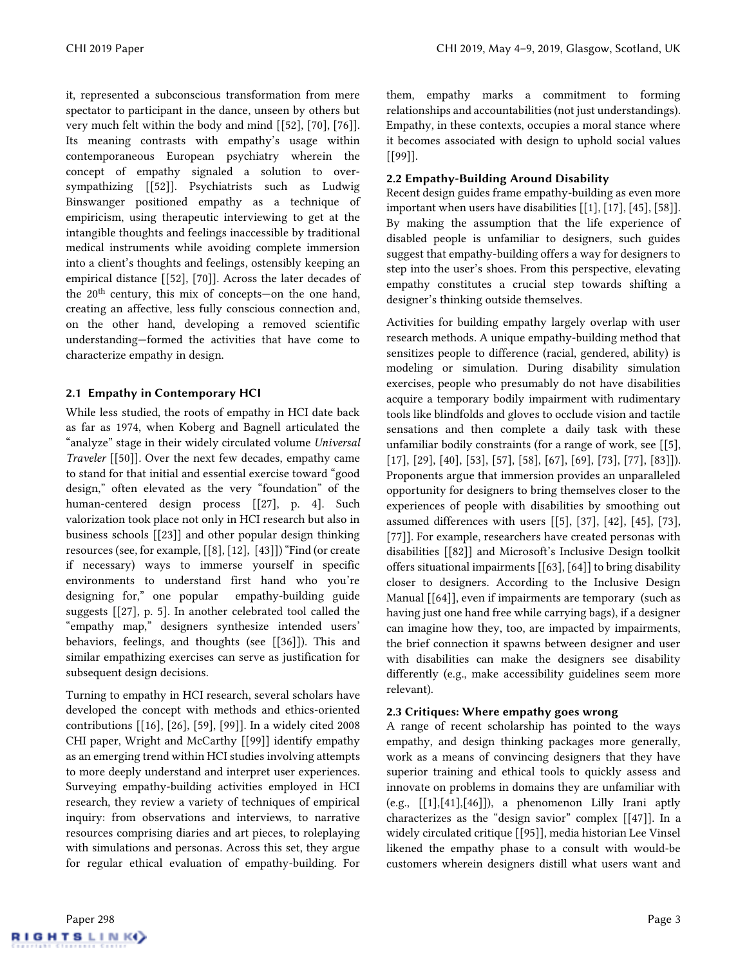it, represented a subconscious transformation from mere spectator to participant in the dance, unseen by others but very much felt within the body and mind [\[\[52\],](#page-11-15) [\[70\],](#page-11-14) [\[76\]\]](#page-11-16). Its meaning contrasts with empathy's usage within contemporaneous European psychiatry wherein the concept of empathy signaled a solution to oversympathizing [\[\[52\]\]](#page-11-15). Psychiatrists such as Ludwig Binswanger positioned empathy as a technique of empiricism, using therapeutic interviewing to get at the intangible thoughts and feelings inaccessible by traditional medical instruments while avoiding complete immersion into a client's thoughts and feelings, ostensibly keeping an empirical distance [\[\[52\],](#page-11-15) [\[70\]\]](#page-11-14). Across the later decades of the 20th century, this mix of concepts—on the one hand, creating an affective, less fully conscious connection and, on the other hand, developing a removed scientific understanding—formed the activities that have come to characterize empathy in design.

## 2.1 Empathy in Contemporary HCI

While less studied, the roots of empathy in HCI date back as far as 1974, when Koberg and Bagnell articulated the "analyze" stage in their widely circulated volume *Universal Traveler* [\[\[50\]\]](#page-11-0)*.* Over the next few decades, empathy came to stand for that initial and essential exercise toward "good design," often elevated as the very "foundation" of the human-centered design process [\[\[27\],](#page-10-1) p. 4]. Such valorization took place not only in HCI research but also in business schools [\[\[23\]\]](#page-10-12) and other popular design thinking resources (see, for example, [\[\[8\],](#page-9-0) [\[12\],](#page-10-13) [\[43\]\]](#page-10-14)) "Find (or create if necessary) ways to immerse yourself in specific environments to understand first hand who you're designing for," one popular empathy-building guide suggests [\[\[27\],](#page-10-1) p. 5]. In another celebrated tool called the "empathy map," designers synthesize intended users' behaviors, feelings, and thoughts (see [\[\[36\]\]](#page-10-15)). This and similar empathizing exercises can serve as justification for subsequent design decisions.

Turning to empathy in HCI research, several scholars have developed the concept with methods and ethics-oriented contributions [\[\[16\],](#page-10-16) [\[26\],](#page-10-17) [\[59\],](#page-11-17) [\[99\]\]](#page-12-0). In a widely cited 2008 CHI paper, Wright and McCarthy [\[\[99\]\]](#page-12-0) identify empathy as an emerging trend within HCI studies involving attempts to more deeply understand and interpret user experiences. Surveying empathy-building activities employed in HCI research, they review a variety of techniques of empirical inquiry: from observations and interviews, to narrative resources comprising diaries and art pieces, to roleplaying with simulations and personas. Across this set, they argue for regular ethical evaluation of empathy-building. For them, empathy marks a commitment to forming relationships and accountabilities (not just understandings). Empathy, in these contexts, occupies a moral stance where it becomes associated with design to uphold social values [\[\[99\]\]](#page-12-0).

## 2.2 Empathy-Building Around Disability

Recent design guides frame empathy-building as even more important when users have disabilities [\[\[1\],](#page-9-5) [\[17\],](#page-10-18) [\[45\],](#page-11-2) [\[58\]\]](#page-11-18). By making the assumption that the life experience of disabled people is unfamiliar to designers, such guides suggest that empathy-building offers a way for designers to step into the user's shoes. From this perspective, elevating empathy constitutes a crucial step towards shifting a designer's thinking outside themselves.

Activities for building empathy largely overlap with user research methods. A unique empathy-building method that sensitizes people to difference (racial, gendered, ability) is modeling or simulation. During disability simulation exercises, people who presumably do not have disabilities acquire a temporary bodily impairment with rudimentary tools like blindfolds and gloves to occlude vision and tactile sensations and then complete a daily task with these unfamiliar bodily constraints (for a range of work, see [\[\[5\],](#page-9-1) [\[17\],](#page-10-18) [\[29\],](#page-10-19) [\[40\],](#page-10-20) [\[53\],](#page-11-19) [\[57\],](#page-11-20) [\[58\],](#page-11-18) [\[67\],](#page-11-13) [\[69\],](#page-11-21) [\[73\],](#page-11-22) [\[77\],](#page-12-5) [\[83\]\]](#page-12-3)). Proponents argue that immersion provides an unparalleled opportunity for designers to bring themselves closer to the experiences of people with disabilities by smoothing out assumed differences with users [\[\[5\],](#page-9-1) [\[37\],](#page-10-4) [\[42\],](#page-10-21) [\[45\],](#page-11-2) [\[73\],](#page-11-22) [\[77\]\]](#page-12-5). For example, researchers have created personas with disabilities [\[\[82\]\]](#page-12-6) and Microsoft's Inclusive Design toolkit offers situational impairments [\[\[63\],](#page-11-23) [\[64\]\]](#page-11-24) to bring disability closer to designers. According to the Inclusive Design Manual [\[\[64\]\]](#page-11-24), even if impairments are temporary (such as having just one hand free while carrying bags), if a designer can imagine how they, too, are impacted by impairments, the brief connection it spawns between designer and user with disabilities can make the designers see disability differently (e.g., make accessibility guidelines seem more relevant).

## 2.3 Critiques: Where empathy goes wrong

A range of recent scholarship has pointed to the ways empathy, and design thinking packages more generally, work as a means of convincing designers that they have superior training and ethical tools to quickly assess and innovate on problems in domains they are unfamiliar with (e.g.,  $[[1],[41],[46]]$  $[[1],[41],[46]]$  $[[1],[41],[46]]$ ), a phenomenon Lilly Irani aptly characterizes as the "design savior" complex [\[\[47\]\]](#page-11-8). In a widely circulated critique [\[\[95\]\]](#page-12-7), media historian Lee Vinsel likened the empathy phase to a consult with would-be customers wherein designers distill what users want and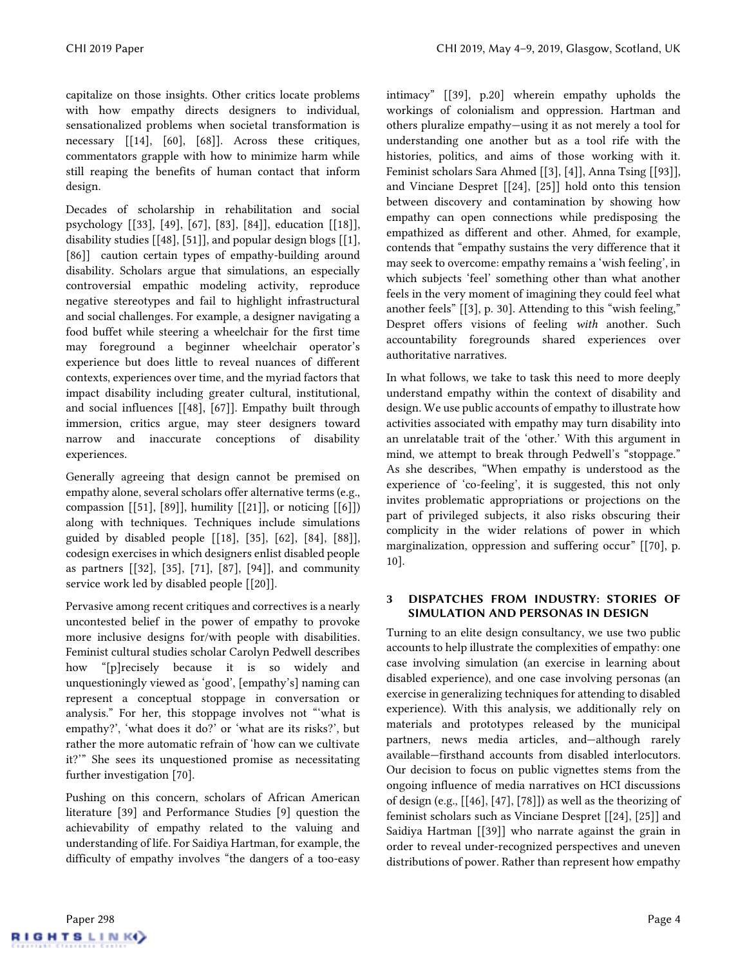capitalize on those insights. Other critics locate problems with how empathy directs designers to individual, sensationalized problems when societal transformation is necessary [\[\[14\],](#page-10-23) [\[60\],](#page-11-25) [\[68\]\]](#page-11-26). Across these critiques, commentators grapple with how to minimize harm while still reaping the benefits of human contact that inform design.

Decades of scholarship in rehabilitation and social psychology [\[\[33\],](#page-10-24) [\[49\],](#page-11-5) [\[67\],](#page-11-13) [\[83\],](#page-12-3) [\[84\]\]](#page-12-8), education [\[\[18\]\]](#page-10-25), disability studies [\[\[48\],](#page-11-4) [\[51\]\]](#page-11-6), and popular design blogs [\[\[1\],](#page-9-5) [\[86\]\]](#page-12-9) caution certain types of empathy-building around disability. Scholars argue that simulations, an especially controversial empathic modeling activity, reproduce negative stereotypes and fail to highlight infrastructural and social challenges. For example, a designer navigating a food buffet while steering a wheelchair for the first time may foreground a beginner wheelchair operator's experience but does little to reveal nuances of different contexts, experiences over time, and the myriad factors that impact disability including greater cultural, institutional, and social influences [\[\[48\],](#page-11-4) [\[67\]\]](#page-11-13). Empathy built through immersion, critics argue, may steer designers toward narrow and inaccurate conceptions of disability experiences.

Generally agreeing that design cannot be premised on empathy alone, several scholars offer alternative terms (e.g., compassion  $[[51], [89]],$  $[[51], [89]],$  $[[51], [89]],$  humility  $[[21]],$  $[[21]],$  or noticing  $[[6]])$  $[[6]])$ along with techniques. Techniques include simulations guided by disabled people [\[\[18\],](#page-10-25) [\[35\],](#page-10-26) [\[62\],](#page-11-27) [\[84\],](#page-12-8) [\[88\]\]](#page-12-11), codesign exercises in which designers enlist disabled people as partners [\[\[32\],](#page-10-27) [\[35\],](#page-10-26) [\[71\],](#page-11-28) [\[87\],](#page-12-12) [\[94\]\]](#page-12-13), and community service work led by disabled people [\[\[20\]\]](#page-10-6).

Pervasive among recent critiques and correctives is a nearly uncontested belief in the power of empathy to provoke more inclusive designs for/with people with disabilities. Feminist cultural studies scholar Carolyn Pedwell describes how "[p]recisely because it is so widely and unquestioningly viewed as 'good', [empathy's] naming can represent a conceptual stoppage in conversation or analysis." For her, this stoppage involves not "'what is empathy?', 'what does it do?' or 'what are its risks?', but rather the more automatic refrain of 'how can we cultivate it?'" She sees its unquestioned promise as necessitating further investigation [\[70\].](#page-11-14)

Pushing on this concern, scholars of African American literature [\[39\]](#page-10-10) and Performance Studies [\[9\]](#page-10-28) question the achievability of empathy related to the valuing and understanding of life. For Saidiya Hartman, for example, the difficulty of empathy involves "the dangers of a too-easy intimacy" [\[\[39\],](#page-10-10) p.20] wherein empathy upholds the workings of colonialism and oppression. Hartman and others pluralize empathy—using it as not merely a tool for understanding one another but as a tool rife with the histories, politics, and aims of those working with it. Feminist scholars Sara Ahmed [\[\[3\],](#page-9-4) [\[4\]\]](#page-9-2), Anna Tsing [\[\[93\]\]](#page-12-4), and Vinciane Despret [\[\[24\],](#page-10-8) [\[25\]\]](#page-10-9) hold onto this tension between discovery and contamination by showing how empathy can open connections while predisposing the empathized as different and other. Ahmed, for example, contends that "empathy sustains the very difference that it may seek to overcome: empathy remains a 'wish feeling', in which subjects 'feel' something other than what another feels in the very moment of imagining they could feel what another feels" [\[\[3\],](#page-9-4) p. 30]. Attending to this "wish feeling," Despret offers visions of feeling *with* another. Such accountability foregrounds shared experiences over authoritative narratives.

In what follows, we take to task this need to more deeply understand empathy within the context of disability and design. We use public accounts of empathy to illustrate how activities associated with empathy may turn disability into an unrelatable trait of the 'other.' With this argument in mind, we attempt to break through Pedwell's "stoppage." As she describes, "When empathy is understood as the experience of 'co-feeling', it is suggested, this not only invites problematic appropriations or projections on the part of privileged subjects, it also risks obscuring their complicity in the wider relations of power in which marginalization, oppression and suffering occur" [\[\[70\],](#page-11-14) p. 10].

## 3 DISPATCHES FROM INDUSTRY: STORIES OF SIMULATION AND PERSONAS IN DESIGN

Turning to an elite design consultancy, we use two public accounts to help illustrate the complexities of empathy: one case involving simulation (an exercise in learning about disabled experience), and one case involving personas (an exercise in generalizing techniques for attending to disabled experience). With this analysis, we additionally rely on materials and prototypes released by the municipal partners, news media articles, and—although rarely available—firsthand accounts from disabled interlocutors. Our decision to focus on public vignettes stems from the ongoing influence of media narratives on HCI discussions of design (e.g., [\[\[46\],](#page-11-7) [\[47\],](#page-11-8) [\[78\]\]](#page-12-14)) as well as the theorizing of feminist scholars such as Vinciane Despret [\[\[24\],](#page-10-8) [\[25\]\]](#page-10-9) and Saidiya Hartman [\[\[39\]\]](#page-10-10) who narrate against the grain in order to reveal under-recognized perspectives and uneven distributions of power. Rather than represent how empathy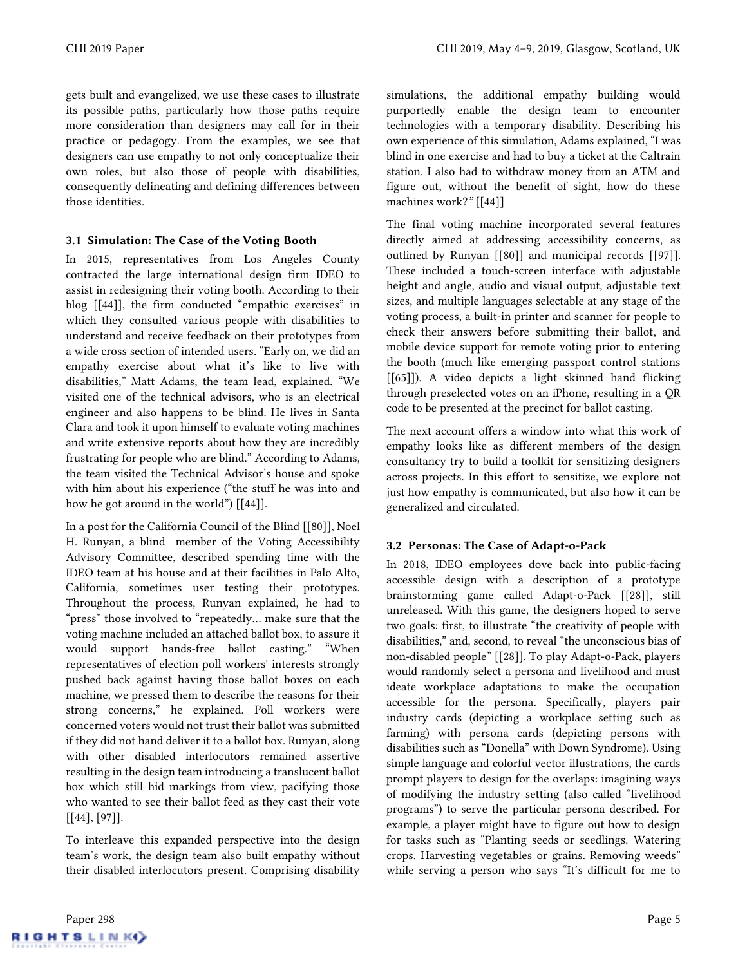gets built and evangelized, we use these cases to illustrate its possible paths, particularly how those paths require more consideration than designers may call for in their practice or pedagogy. From the examples, we see that designers can use empathy to not only conceptualize their own roles, but also those of people with disabilities, consequently delineating and defining differences between those identities.

### 3.1 Simulation: The Case of the Voting Booth

In 2015, representatives from Los Angeles County contracted the large international design firm IDEO to assist in redesigning their voting booth. According to their blog [\[\[44\]\]](#page-10-29), the firm conducted "empathic exercises" in which they consulted various people with disabilities to understand and receive feedback on their prototypes from a wide cross section of intended users. "Early on, we did an empathy exercise about what it's like to live with disabilities," Matt Adams, the team lead, explained. "We visited one of the technical advisors, who is an electrical engineer and also happens to be blind. He lives in Santa Clara and took it upon himself to evaluate voting machines and write extensive reports about how they are incredibly frustrating for people who are blind." According to Adams, the team visited the Technical Advisor's house and spoke with him about his experience ("the stuff he was into and how he got around in the world") [\[\[44\]\]](#page-10-29).

In a post for the California Council of the Blind [\[\[80\]\]](#page-12-15), Noel H. Runyan, a blind member of the Voting Accessibility Advisory Committee, described spending time with the IDEO team at his house and at their facilities in Palo Alto, California, sometimes user testing their prototypes. Throughout the process, Runyan explained, he had to "press" those involved to "repeatedly… make sure that the voting machine included an attached ballot box, to assure it would support hands-free ballot casting." "When representatives of election poll workers' interests strongly pushed back against having those ballot boxes on each machine, we pressed them to describe the reasons for their strong concerns," he explained. Poll workers were concerned voters would not trust their ballot was submitted if they did not hand deliver it to a ballot box. Runyan, along with other disabled interlocutors remained assertive resulting in the design team introducing a translucent ballot box which still hid markings from view, pacifying those who wanted to see their ballot feed as they cast their vote [\[\[44\],](#page-10-29) [\[97\]\]](#page-12-16).

To interleave this expanded perspective into the design team's work, the design team also built empathy without their disabled interlocutors present. Comprising disability simulations, the additional empathy building would purportedly enable the design team to encounter technologies with a temporary disability. Describing his own experience of this simulation, Adams explained, "I was blind in one exercise and had to buy a ticket at the Caltrain station. I also had to withdraw money from an ATM and figure out, without the benefit of sight, how do these machines work?*"* [\[\[44\]\]](#page-10-29)

The final voting machine incorporated several features directly aimed at addressing accessibility concerns, as outlined by Runyan [\[\[80\]\]](#page-12-15) and municipal records [\[\[97\]\]](#page-12-16). These included a touch-screen interface with adjustable height and angle, audio and visual output, adjustable text sizes, and multiple languages selectable at any stage of the voting process, a built-in printer and scanner for people to check their answers before submitting their ballot, and mobile device support for remote voting prior to entering the booth (much like emerging passport control stations [\[\[65\]\]](#page-11-29)). A video depicts a light skinned hand flicking through preselected votes on an iPhone, resulting in a QR code to be presented at the precinct for ballot casting.

The next account offers a window into what this work of empathy looks like as different members of the design consultancy try to build a toolkit for sensitizing designers across projects. In this effort to sensitize, we explore not just how empathy is communicated, but also how it can be generalized and circulated.

## 3.2 Personas: The Case of Adapt-o-Pack

In 2018, IDEO employees dove back into public-facing accessible design with a description of a prototype brainstorming game called Adapt-o-Pack [\[\[28\]\]](#page-10-30), still unreleased. With this game, the designers hoped to serve two goals: first, to illustrate "the creativity of people with disabilities," and, second, to reveal "the unconscious bias of non-disabled people" [\[\[28\]\]](#page-10-30). To play Adapt-o-Pack, players would randomly select a persona and livelihood and must ideate workplace adaptations to make the occupation accessible for the persona. Specifically, players pair industry cards (depicting a workplace setting such as farming) with persona cards (depicting persons with disabilities such as "Donella" with Down Syndrome). Using simple language and colorful vector illustrations, the cards prompt players to design for the overlaps: imagining ways of modifying the industry setting (also called "livelihood programs") to serve the particular persona described. For example, a player might have to figure out how to design for tasks such as "Planting seeds or seedlings. Watering crops. Harvesting vegetables or grains. Removing weeds" while serving a person who says "It's difficult for me to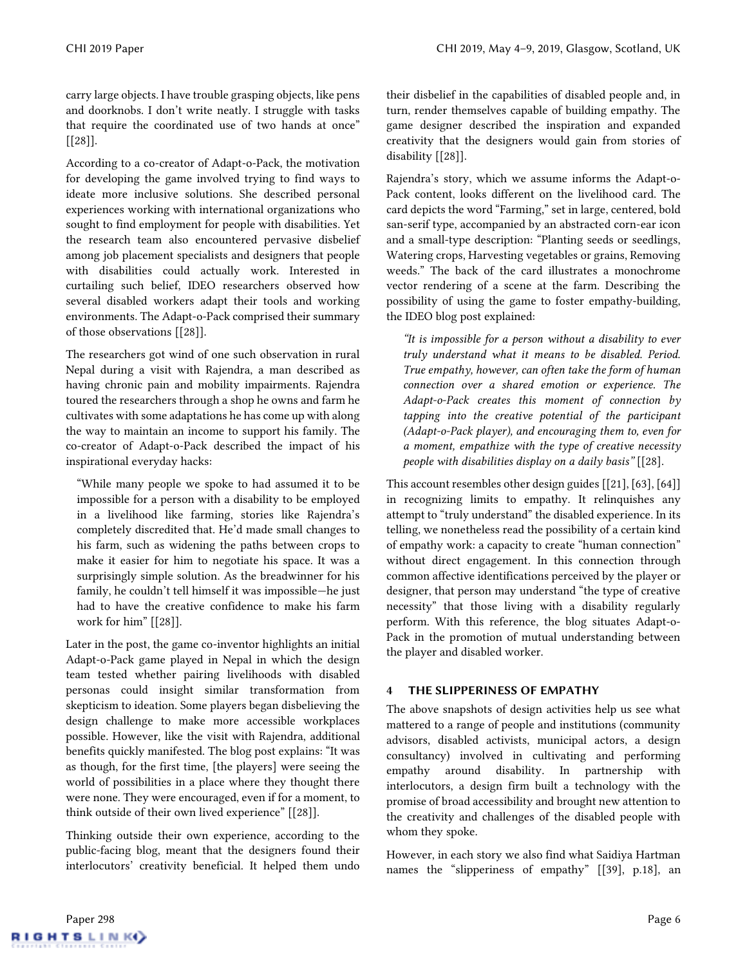carry large objects. I have trouble grasping objects, like pens and doorknobs. I don't write neatly. I struggle with tasks that require the coordinated use of two hands at once"  $[28]$ ].

According to a co-creator of Adapt-o-Pack, the motivation for developing the game involved trying to find ways to ideate more inclusive solutions. She described personal experiences working with international organizations who sought to find employment for people with disabilities. Yet the research team also encountered pervasive disbelief among job placement specialists and designers that people with disabilities could actually work. Interested in curtailing such belief, IDEO researchers observed how several disabled workers adapt their tools and working environments. The Adapt-o-Pack comprised their summary of those observations [\[\[28\]\]](#page-10-30).

The researchers got wind of one such observation in rural Nepal during a visit with Rajendra, a man described as having chronic pain and mobility impairments. Rajendra toured the researchers through a shop he owns and farm he cultivates with some adaptations he has come up with along the way to maintain an income to support his family. The co-creator of Adapt-o-Pack described the impact of his inspirational everyday hacks:

"While many people we spoke to had assumed it to be impossible for a person with a disability to be employed in a livelihood like farming, stories like Rajendra's completely discredited that. He'd made small changes to his farm, such as widening the paths between crops to make it easier for him to negotiate his space. It was a surprisingly simple solution. As the breadwinner for his family, he couldn't tell himself it was impossible—he just had to have the creative confidence to make his farm work for him" [\[\[28\]\]](#page-10-30).

Later in the post, the game co-inventor highlights an initial Adapt-o-Pack game played in Nepal in which the design team tested whether pairing livelihoods with disabled personas could insight similar transformation from skepticism to ideation. Some players began disbelieving the design challenge to make more accessible workplaces possible. However, like the visit with Rajendra, additional benefits quickly manifested. The blog post explains: "It was as though, for the first time, [the players] were seeing the world of possibilities in a place where they thought there were none. They were encouraged, even if for a moment, to think outside of their own lived experience" [\[\[28\]\]](#page-10-30).

Thinking outside their own experience, according to the public-facing blog, meant that the designers found their interlocutors' creativity beneficial. It helped them undo their disbelief in the capabilities of disabled people and, in turn, render themselves capable of building empathy. The game designer described the inspiration and expanded creativity that the designers would gain from stories of disability [\[\[28\]\]](#page-10-30).

Rajendra's story, which we assume informs the Adapt-o-Pack content, looks different on the livelihood card. The card depicts the word "Farming," set in large, centered, bold san-serif type, accompanied by an abstracted corn-ear icon and a small-type description: "Planting seeds or seedlings, Watering crops, Harvesting vegetables or grains, Removing weeds." The back of the card illustrates a monochrome vector rendering of a scene at the farm. Describing the possibility of using the game to foster empathy-building, the IDEO blog post explained:

*"It is impossible for a person without a disability to ever truly understand what it means to be disabled. Period. True empathy, however, can often take the form of human connection over a shared emotion or experience. The Adapt-o-Pack creates this moment of connection by tapping into the creative potential of the participant (Adapt-o-Pack player), and encouraging them to, even for a moment, empathize with the type of creative necessity people with disabilities display on a daily basis"* [\[\[28\].](#page-10-30)

This account resembles other design guides [\[\[21\],](#page-10-3) [\[63\],](#page-11-23) [\[64\]\]](#page-11-24) in recognizing limits to empathy. It relinquishes any attempt to "truly understand" the disabled experience. In its telling, we nonetheless read the possibility of a certain kind of empathy work: a capacity to create "human connection" without direct engagement. In this connection through common affective identifications perceived by the player or designer, that person may understand "the type of creative necessity" that those living with a disability regularly perform. With this reference, the blog situates Adapt-o-Pack in the promotion of mutual understanding between the player and disabled worker.

## 4 THE SLIPPERINESS OF EMPATHY

The above snapshots of design activities help us see what mattered to a range of people and institutions (community advisors, disabled activists, municipal actors, a design consultancy) involved in cultivating and performing empathy around disability. In partnership with interlocutors, a design firm built a technology with the promise of broad accessibility and brought new attention to the creativity and challenges of the disabled people with whom they spoke.

However, in each story we also find what Saidiya Hartman names the "slipperiness of empathy" [\[\[39\],](#page-10-10) p.18], an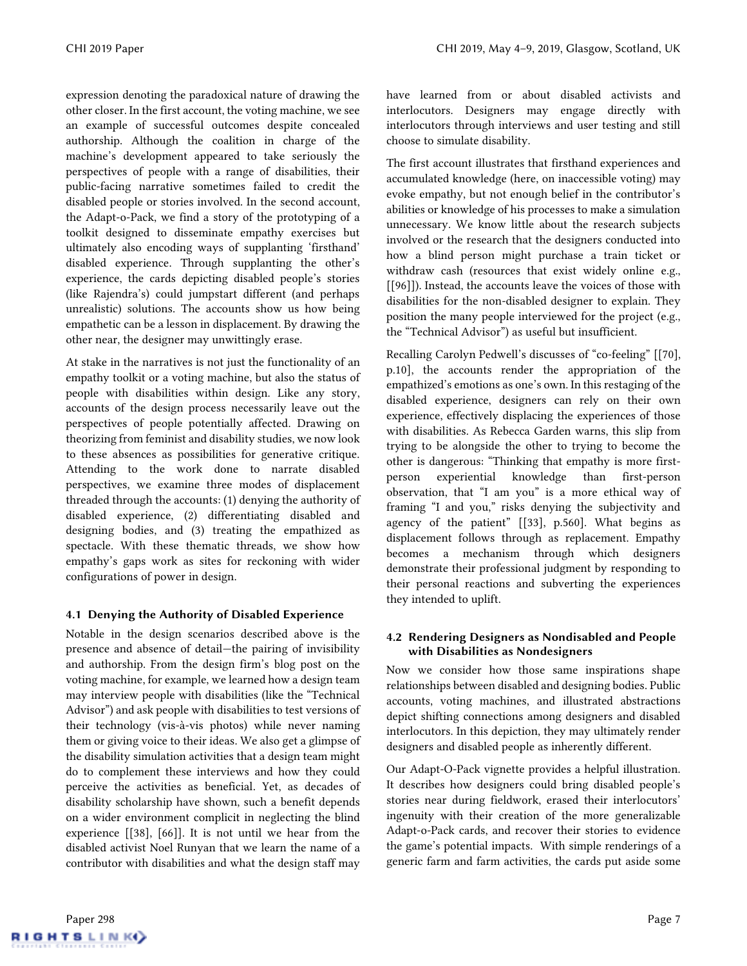expression denoting the paradoxical nature of drawing the other closer. In the first account, the voting machine, we see an example of successful outcomes despite concealed authorship. Although the coalition in charge of the machine's development appeared to take seriously the perspectives of people with a range of disabilities, their public-facing narrative sometimes failed to credit the disabled people or stories involved. In the second account, the Adapt-o-Pack, we find a story of the prototyping of a toolkit designed to disseminate empathy exercises but ultimately also encoding ways of supplanting 'firsthand' disabled experience. Through supplanting the other's experience, the cards depicting disabled people's stories (like Rajendra's) could jumpstart different (and perhaps unrealistic) solutions. The accounts show us how being empathetic can be a lesson in displacement. By drawing the other near, the designer may unwittingly erase.

At stake in the narratives is not just the functionality of an empathy toolkit or a voting machine, but also the status of people with disabilities within design. Like any story, accounts of the design process necessarily leave out the perspectives of people potentially affected. Drawing on theorizing from feminist and disability studies, we nowlook to these absences as possibilities for generative critique. Attending to the work done to narrate disabled perspectives, we examine three modes of displacement threaded through the accounts: (1) denying the authority of disabled experience, (2) differentiating disabled and designing bodies, and (3) treating the empathized as spectacle. With these thematic threads, we show how empathy's gaps work as sites for reckoning with wider configurations of power in design.

## 4.1 Denying the Authority of Disabled Experience

Notable in the design scenarios described above is the presence and absence of detail—the pairing of invisibility and authorship. From the design firm's blog post on the voting machine, for example, we learned how a design team may interview people with disabilities (like the "Technical Advisor") and ask people with disabilities to test versions of their technology (vis-à-vis photos) while never naming them or giving voice to their ideas. We also get a glimpse of the disability simulation activities that a design team might do to complement these interviews and how they could perceive the activities as beneficial. Yet, as decades of disability scholarship have shown, such a benefit depends on a wider environment complicit in neglecting the blind experience [\[\[38\],](#page-10-5) [\[66\]\]](#page-11-3). It is not until we hear from the disabled activist Noel Runyan that we learn the name of a contributor with disabilities and what the design staff may

have learned from or about disabled activists and interlocutors. Designers may engage directly with interlocutors through interviews and user testing and still choose to simulate disability.

The first account illustrates that firsthand experiences and accumulated knowledge (here, on inaccessible voting) may evoke empathy, but not enough belief in the contributor's abilities or knowledge of his processes to make a simulation unnecessary. We know little about the research subjects involved or the research that the designers conducted into how a blind person might purchase a train ticket or withdraw cash (resources that exist widely online e.g., [\[\[96\]\]](#page-12-17)). Instead, the accounts leave the voices of those with disabilities for the non-disabled designer to explain. They position the many people interviewed for the project (e.g., the "Technical Advisor") as useful but insufficient.

Recalling Carolyn Pedwell's discusses of "co-feeling" [\[\[70\],](#page-11-14) p.10], the accounts render the appropriation of the empathized's emotions as one's own. In this restaging of the disabled experience, designers can rely on their own experience, effectively displacing the experiences of those with disabilities. As Rebecca Garden warns, this slip from trying to be alongside the other to trying to become the other is dangerous: "Thinking that empathy is more firstperson experiential knowledge than first-person observation, that "I am you" is a more ethical way of framing "I and you," risks denying the subjectivity and agency of the patient" [\[\[33\],](#page-10-7) p.560]. What begins as displacement follows through as replacement. Empathy becomes a mechanism through which designers demonstrate their professional judgment by responding to their personal reactions and subverting the experiences they intended to uplift.

## 4.2 Rendering Designers as Nondisabled and People with Disabilities as Nondesigners

Now we consider how those same inspirations shape relationships between disabled and designing bodies. Public accounts, voting machines, and illustrated abstractions depict shifting connections among designers and disabled interlocutors. In this depiction, they may ultimately render designers and disabled people as inherently different.

Our Adapt-O-Pack vignette provides a helpful illustration. It describes how designers could bring disabled people's stories near during fieldwork, erased their interlocutors' ingenuity with their creation of the more generalizable Adapt-o-Pack cards, and recover their stories to evidence the game's potential impacts. With simple renderings of a generic farm and farm activities, the cards put aside some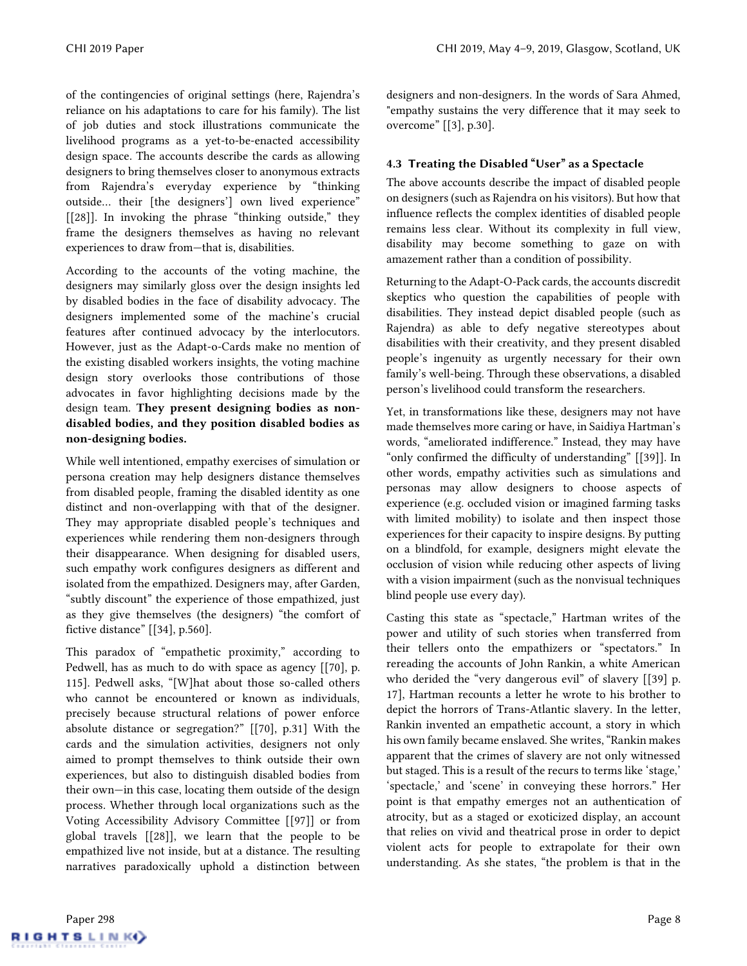of the contingencies of original settings (here, Rajendra's reliance on his adaptations to care for his family). The list of job duties and stock illustrations communicate the livelihood programs as a yet-to-be-enacted accessibility design space. The accounts describe the cards as allowing designers to bring themselves closer to anonymous extracts from Rajendra's everyday experience by "thinking outside… their [the designers'] own lived experience" [\[\[28\]\]](#page-10-30). In invoking the phrase "thinking outside," they frame the designers themselves as having no relevant experiences to draw from—that is, disabilities.

According to the accounts of the voting machine, the designers may similarly gloss over the design insights led by disabled bodies in the face of disability advocacy. The designers implemented some of the machine's crucial features after continued advocacy by the interlocutors. However, just as the Adapt-o-Cards make no mention of the existing disabled workers insights, the voting machine design story overlooks those contributions of those advocates in favor highlighting decisions made by the design team. They present designing bodies as nondisabled bodies, and they position disabled bodies as non-designing bodies.

While well intentioned, empathy exercises of simulation or persona creation may help designers distance themselves from disabled people, framing the disabled identity as one distinct and non-overlapping with that of the designer. They may appropriate disabled people's techniques and experiences while rendering them non-designers through their disappearance. When designing for disabled users, such empathy work configures designers as different and isolated from the empathized. Designers may, after Garden, "subtly discount" the experience of those empathized, just as they give themselves (the designers) "the comfort of fictive distance" [[\[34\],](#page-10-11) p.560].

This paradox of "empathetic proximity," according to Pedwell, has as much to do with space as agency [\[\[70\],](#page-11-14) p. 115]. Pedwell asks, "[W]hat about those so-called others who cannot be encountered or known as individuals, precisely because structural relations of power enforce absolute distance or segregation?" [\[\[70\],](#page-11-14) p.31] With the cards and the simulation activities, designers not only aimed to prompt themselves to think outside their own experiences, but also to distinguish disabled bodies from their own—in this case, locating them outside of the design process. Whether through local organizations such as the Voting Accessibility Advisory Committee [\[\[97\]\]](#page-12-16) or from global travels [\[\[28\]\]](#page-10-30), we learn that the people to be empathized live not inside, but at a distance. The resulting narratives paradoxically uphold a distinction between

designers and non-designers. In the words of Sara Ahmed, "empathy sustains the very difference that it may seek to overcome" [\[\[3\],](#page-9-4) p.30].

## 4.3 Treating the Disabled "User" as a Spectacle

The above accounts describe the impact of disabled people on designers (such as Rajendra on his visitors). But how that influence reflects the complex identities of disabled people remains less clear. Without its complexity in full view, disability may become something to gaze on with amazement rather than a condition of possibility.

Returning to the Adapt-O-Pack cards, the accounts discredit skeptics who question the capabilities of people with disabilities. They instead depict disabled people (such as Rajendra) as able to defy negative stereotypes about disabilities with their creativity, and they present disabled people's ingenuity as urgently necessary for their own family's well-being. Through these observations, a disabled person's livelihood could transform the researchers.

Yet, in transformations like these, designers may not have made themselves more caring or have, in Saidiya Hartman's words, "ameliorated indifference." Instead, they may have "only confirmed the difficulty of understanding" [\[\[39\]\]](#page-10-10). In other words, empathy activities such as simulations and personas may allow designers to choose aspects of experience (e.g. occluded vision or imagined farming tasks with limited mobility) to isolate and then inspect those experiences for their capacity to inspire designs. By putting on a blindfold, for example, designers might elevate the occlusion of vision while reducing other aspects of living with a vision impairment (such as the nonvisual techniques blind people use every day).

Casting this state as "spectacle," Hartman writes of the power and utility of such stories when transferred from their tellers onto the empathizers or "spectators." In rereading the accounts of John Rankin, a white American who derided the "very dangerous evil" of slavery [[\[39\]](#page-10-10) p. 17], Hartman recounts a letter he wrote to his brother to depict the horrors of Trans-Atlantic slavery. In the letter, Rankin invented an empathetic account, a story in which his own family became enslaved. She writes, "Rankin makes apparent that the crimes of slavery are not only witnessed but staged. This is a result of the recurs to terms like 'stage,' 'spectacle,' and 'scene' in conveying these horrors." Her point is that empathy emerges not an authentication of atrocity, but as a staged or exoticized display, an account that relies on vivid and theatrical prose in order to depict violent acts for people to extrapolate for their own understanding. As she states, "the problem is that in the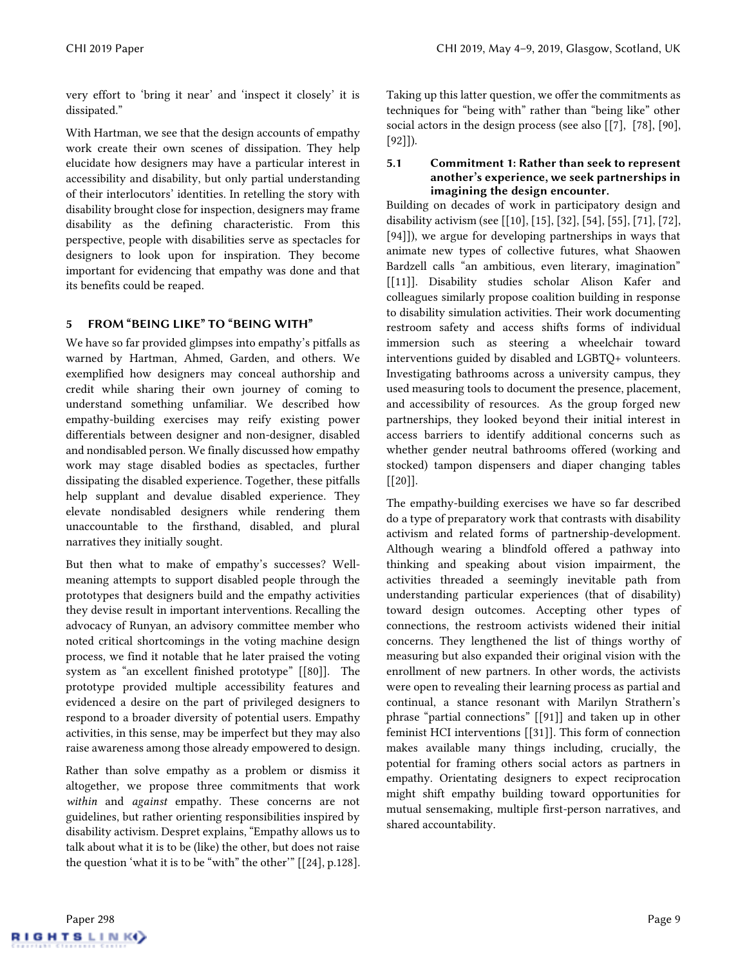very effort to 'bring it near' and 'inspect it closely' it is dissipated."

With Hartman, we see that the design accounts of empathy work create their own scenes of dissipation. They help elucidate how designers may have a particular interest in accessibility and disability, but only partial understanding of their interlocutors' identities. In retelling the story with disability brought close for inspection, designers may frame disability as the defining characteristic. From this perspective, people with disabilities serve as spectacles for designers to look upon for inspiration. They become important for evidencing that empathy was done and that its benefits could be reaped.

## 5 FROM "BEING LIKE" TO "BEING WITH"

We have so far provided glimpses into empathy's pitfalls as warned by Hartman, Ahmed, Garden, and others. We exemplified how designers may conceal authorship and credit while sharing their own journey of coming to understand something unfamiliar. We described how empathy-building exercises may reify existing power differentials between designer and non-designer, disabled and nondisabled person. We finally discussed howempathy work may stage disabled bodies as spectacles, further dissipating the disabled experience. Together, these pitfalls help supplant and devalue disabled experience. They elevate nondisabled designers while rendering them unaccountable to the firsthand, disabled, and plural narratives they initially sought.

But then what to make of empathy's successes? Wellmeaning attempts to support disabled people through the prototypes that designers build and the empathy activities they devise result in important interventions. Recalling the advocacy of Runyan, an advisory committee member who noted critical shortcomings in the voting machine design process, we find it notable that he later praised the voting system as "an excellent finished prototype" [\[\[80\]\]](#page-12-15). The prototype provided multiple accessibility features and evidenced a desire on the part of privileged designers to respond to a broader diversity of potential users. Empathy activities, in this sense, may be imperfect but they may also raise awareness among those already empowered to design.

Rather than solve empathy as a problem or dismiss it altogether, we propose three commitments that work *within* and *against* empathy. These concerns are not guidelines, but rather orienting responsibilities inspired by disability activism. Despret explains, "Empathy allows us to talk about what it is to be (like) the other, but does not raise the question 'what it is to be "with" the other'" [\[\[24\],](#page-10-8) p.128]. Taking up this latter question, we offer the commitments as techniques for "being with" rather than "being like" other social actors in the design process (see also [\[\[7\],](#page-9-7) [\[78\],](#page-12-14) [\[90\],](#page-12-18) [\[92\]\]](#page-12-19)).

#### 5.1 Commitment 1: Rather than seek to represent another's experience, we seek partnerships in imagining the design encounter.

Building on decades of work in participatory design and disability activism (see [\[\[10\],](#page-10-31) [\[15\],](#page-10-32) [\[32\],](#page-10-27) [\[54\],](#page-11-10) [\[55\],](#page-11-11) [\[71\],](#page-11-28) [\[72\],](#page-11-12) [\[94\]\]](#page-12-13)), we argue for developing partnerships in ways that animate new types of collective futures, what Shaowen Bardzell calls "an ambitious, even literary, imagination" [\[\[11\]\]](#page-10-33). Disability studies scholar Alison Kafer and colleagues similarly propose coalition building in response to disability simulation activities. Their work documenting restroom safety and access shifts forms of individual immersion such as steering a wheelchair toward interventions guided by disabled and LGBTQ+ volunteers. Investigating bathrooms across a university campus, they used measuring tools to document the presence, placement, and accessibility of resources. As the group forged new partnerships, they looked beyond their initial interest in access barriers to identify additional concerns such as whether gender neutral bathrooms offered (working and stocked) tampon dispensers and diaper changing tables  $[[20]]$ .

The empathy-building exercises we have so far described do a type of preparatory work that contrasts with disability activism and related forms of partnership-development. Although wearing a blindfold offered a pathway into thinking and speaking about vision impairment, the activities threaded a seemingly inevitable path from understanding particular experiences (that of disability) toward design outcomes. Accepting other types of connections, the restroom activists widened their initial concerns. They lengthened the list of things worthy of measuring but also expanded their original vision with the enrollment of new partners. In other words, the activists were open to revealing their learning process as partial and continual, a stance resonant with Marilyn Strathern's phrase "partial connections" [\[\[91\]\]](#page-12-20) and taken up in other feminist HCI interventions [\[\[31\]\]](#page-10-34). This form of connection makes available many things including, crucially, the potential for framing others social actors as partners in empathy. Orientating designers to expect reciprocation might shift empathy building toward opportunities for mutual sensemaking, multiple first-person narratives, and shared accountability.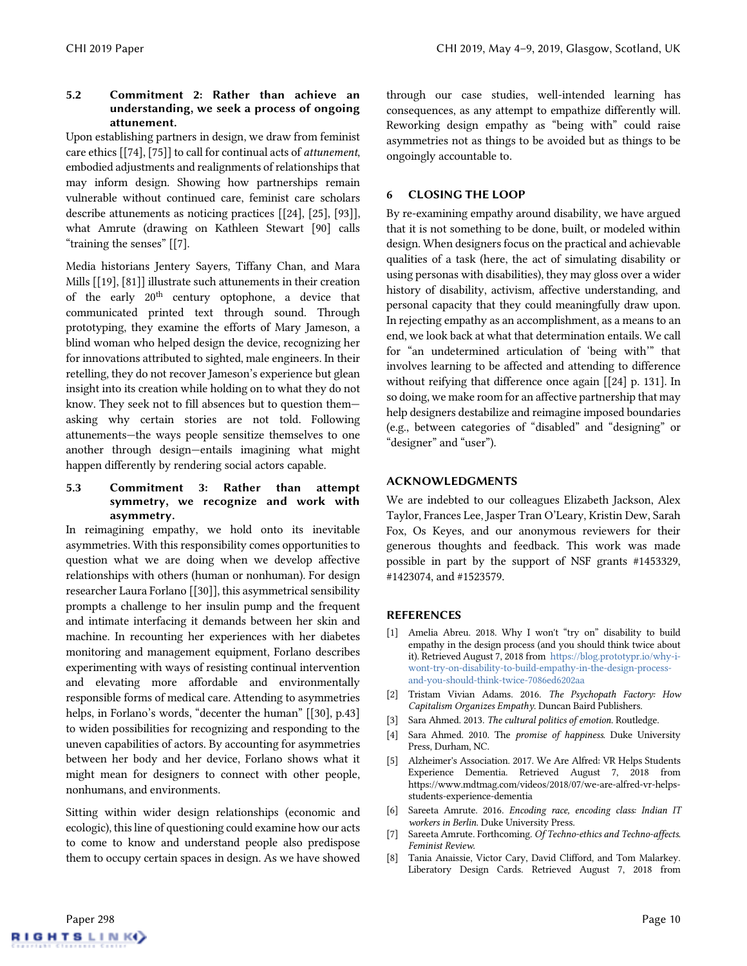## 5.2 Commitment 2: Rather than achieve an understanding, we seek a process of ongoing attunement.

Upon establishing partners in design, we draw from feminist care ethics [\[\[74\],](#page-11-30) [\[75\]\]](#page-11-31) to call for continual acts of *attunement*, embodied adjustments and realignments of relationships that may inform design. Showing how partnerships remain vulnerable without continued care, feminist care scholars describe attunements as noticing practices [\[\[24\],](#page-10-8) [\[25\],](#page-10-9) [\[93\]\]](#page-12-4), what Amrute (drawing on Kathleen Stewart [\[90\]](#page-12-18) calls "training the senses" [\[\[7\].](#page-9-7) 

Media historians Jentery Sayers, Tiffany Chan, and Mara Mills [\[\[19\],](#page-10-35) [\[81\]\]](#page-12-21) illustrate such attunements in their creation of the early  $20<sup>th</sup>$  century optophone, a device that communicated printed text through sound. Through prototyping, they examine the efforts of Mary Jameson, a blind woman who helped design the device, recognizing her for innovations attributed to sighted, male engineers. In their retelling, they do not recover Jameson's experience but glean insight into its creationwhile holding on to what they do not know. They seek not to fill absences but to question them asking why certain stories are not told. Following attunements—the ways people sensitize themselves to one another through design—entails imagining what might happen differently by rendering social actors capable.

#### 5.3 Commitment 3: Rather than attempt symmetry, we recognize and work with asymmetry.

In reimagining empathy, we hold onto its inevitable asymmetries. With this responsibility comes opportunities to question what we are doing when we develop affective relationships with others (human or nonhuman). For design researcher Laura Forlano [\[\[30\]\]](#page-10-36), this asymmetrical sensibility prompts a challenge to her insulin pump and the frequent and intimate interfacing it demands between her skin and machine. In recounting her experiences with her diabetes monitoring and management equipment, Forlano describes experimenting with ways of resisting continual intervention and elevating more affordable and environmentally responsible forms of medical care. Attending to asymmetries helps, in Forlano's words, "decenter the human" [\[\[30\],](#page-10-36) p.43] to widen possibilities for recognizing and responding to the uneven capabilities of actors. By accounting for asymmetries between her body and her device, Forlano shows what it might mean for designers to connect with other people, nonhumans, and environments.

Sitting within wider design relationships (economic and ecologic), this line of questioning could examine how our acts to come to know and understand people also predispose them to occupy certain spaces in design. As we have showed through our case studies, well-intended learning has consequences, as any attempt to empathize differently will. Reworking design empathy as "being with" could raise asymmetries not as things to be avoided but as things to be ongoingly accountable to.

## 6 CLOSING THE LOOP

By re-examining empathy around disability, we have argued that it is not something to be done, built, or modeled within design. When designers focus on the practical and achievable qualities of a task (here, the act of simulating disability or using personas with disabilities), they may gloss over a wider history of disability, activism, affective understanding, and personal capacity that they could meaningfully draw upon. In rejecting empathy as an accomplishment, as a means to an end, we look back at what that determination entails. We call for "an undetermined articulation of 'being with'" that involves learning to be affected and attending to difference without reifying that difference once again [\[\[24\]](#page-10-8) p. 131]. In so doing, we make room for an affective partnership that may help designers destabilize and reimagine imposed boundaries (e.g., between categories of "disabled" and "designing" or "designer" and "user").

## ACKNOWLEDGMENTS

We are indebted to our colleagues Elizabeth Jackson, Alex Taylor, Frances Lee, Jasper Tran O'Leary, Kristin Dew, Sarah Fox, Os Keyes, and our anonymous reviewers for their generous thoughts and feedback. This work was made possible in part by the support of NSF grants #1453329, #1423074, and #1523579.

## REFERENCES

- <span id="page-9-5"></span>[1] Amelia Abreu. 2018. Why I won't "try on" disability to build empathy in the design process (and you should think twice about it). Retrieved August 7, 2018 from [https://blog.prototypr.io/why-i](https://blog.prototypr.io/why-i-wont-try-on-disability-to-build-empathy-in-the-design-process-and-you-should-think-twice-7086ed6202aa)[wont-try-on-disability-to-build-empathy-in-the-design-process](https://blog.prototypr.io/why-i-wont-try-on-disability-to-build-empathy-in-the-design-process-and-you-should-think-twice-7086ed6202aa)[and-you-should-think-twice-7086ed6202aa](https://blog.prototypr.io/why-i-wont-try-on-disability-to-build-empathy-in-the-design-process-and-you-should-think-twice-7086ed6202aa)
- <span id="page-9-6"></span>[2] Tristam Vivian Adams. 2016. *The Psychopath Factory: How Capitalism Organizes Empathy.* Duncan Baird Publishers.
- <span id="page-9-4"></span>[3] Sara Ahmed. 2013. *The cultural politics of emotion.* Routledge.
- <span id="page-9-2"></span>[4] Sara Ahmed. 2010. The *promise of happiness.* Duke University Press, Durham, NC.
- <span id="page-9-1"></span>[5] Alzheimer's Association. 2017. We Are Alfred: VR Helps Students Experience Dementia. Retrieved August 7, 2018 from https://www.mdtmag.com/videos/2018/07/we-are-alfred-vr-helpsstudents-experience-dementia
- <span id="page-9-3"></span>[6] Sareeta Amrute. 2016. *Encoding race, encoding class: Indian IT workers in Berlin*. Duke University Press.
- <span id="page-9-7"></span>[7] Sareeta Amrute. Forthcoming. *Of Techno-ethics and Techno-affects. Feminist Review.*
- <span id="page-9-0"></span>[8] Tania Anaissie, Victor Cary, David Clifford, and Tom Malarkey. Liberatory Design Cards. Retrieved August 7, 2018 from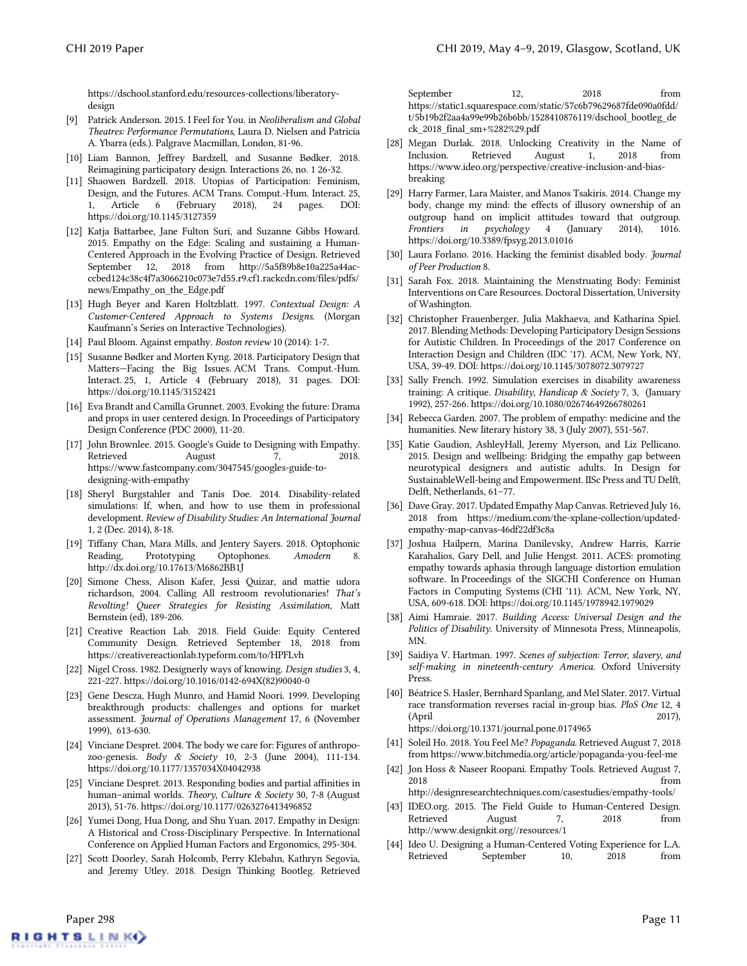https://dschool.stanford.edu/resources-collections/liberatorydesign

- <span id="page-10-28"></span>[9] Patrick Anderson. 2015. I Feel for You. in *Neoliberalism and Global Theatres: Performance Permutations,* Laura D. Nielsen and Patricia A. Ybarra (eds.). Palgrave Macmillan, London, 81-96.
- <span id="page-10-31"></span>[10] Liam Bannon, Jeffrey Bardzell, and Susanne Bødker. 2018. Reimagining participatory design. Interactions 26, no. 1 26-32.
- <span id="page-10-33"></span>[11] Shaowen Bardzell. 2018. Utopias of Participation: Feminism, Design, and the Futures. ACM Trans. Comput.-Hum. Interact. 25, Article 6 (February 2018), 24 pages. DOI: <https://doi.org/10.1145/3127359>
- <span id="page-10-13"></span>[12] Katja Battarbee, Jane Fulton Suri, and Suzanne Gibbs Howard. 2015. Empathy on the Edge: Scaling and sustaining a Human-Centered Approach in the Evolving Practice of Design. Retrieved September 12, 2018 from http://5a5f89b8e10a225a44acccbed124c38c4f7a3066210c073e7d55.r9.cf1.rackcdn.com/files/pdfs/ news/Empathy\_on\_the\_Edge.pdf
- <span id="page-10-2"></span>[13] Hugh Beyer and Karen Holtzblatt. 1997. *Contextual Design: A Customer-Centered Approach to Systems Designs.* (Morgan Kaufmann's Series on Interactive Technologies).
- <span id="page-10-23"></span>[14] Paul Bloom. Against empathy. *Boston review* 10 (2014): 1-7.
- <span id="page-10-32"></span>[15] Susanne Bødker and Morten Kyng. 2018. Participatory Design that Matters—Facing the Big Issues. ACM Trans. Comput.-Hum. Interact. 25, 1, Article 4 (February 2018), 31 pages. DOI: https://doi.org/10.1145/3152421
- <span id="page-10-16"></span>[16] Eva Brandt and Camilla Grunnet. 2003. Evoking the future: Drama and props in user centered design. In Proceedings of Participatory Design Conference (PDC 2000), 11-20.
- <span id="page-10-18"></span>[17] John Brownlee. 2015. Google's Guide to Designing with Empathy. Retrieved August 7, 2018. https://www.fastcompany.com/3047545/googles-guide-todesigning-with-empathy
- <span id="page-10-25"></span>[18] Sheryl Burgstahler and Tanis Doe. 2014. Disability-related simulations: If, when, and how to use them in professional development. *Review of Disability Studies: An International Journal* 1, 2 (Dec. 2014), 8-18.
- <span id="page-10-35"></span>[19] Tiffany Chan, Mara Mills, and Jentery Sayers. 2018. Optophonic Reading, Prototyping Optophones. *Amodern* 8. http://dx.doi.org/10.17613/M6862BB1J
- <span id="page-10-6"></span>[20] Simone Chess, Alison Kafer, Jessi Quizar, and mattie udora richardson, 2004. Calling All restroom revolutionaries! *That's Revolting! Queer Strategies for Resisting Assimilation,* Matt Bernstein (ed), 189-206.
- <span id="page-10-3"></span>[21] Creative Reaction Lab. 2018. Field Guide: Equity Centered Community Design. Retrieved September 18, 2018 from https://creativereactionlab.typeform.com/to/HPFLvh
- <span id="page-10-0"></span>[22] Nigel Cross. 1982. Designerly ways of knowing. *Design studies* 3, 4, 221-227. [https://doi.org/10.1016/0142-694X\(82\)90040-0](https://doi.org/10.1016/0142-694X(82)90040-0)
- <span id="page-10-12"></span>[23] Gene Descza, Hugh Munro, and Hamid Noori. 1999. Developing breakthrough products: challenges and options for market assessment. *Journal of Operations Management* 17, 6 (November 1999), 613-630.
- <span id="page-10-8"></span>[24] Vinciane Despret. 2004. The body we care for: Figures of anthropozoo-genesis. *Body & Society* 10, 2-3 (June 2004), 111-134. [https://doi.org/10.1177/1357034X04042938](https://doi.org/10.1177%2F1357034X04042938)
- <span id="page-10-9"></span>[25] Vinciane Despret. 2013. Responding bodies and partial affinities in human–animal worlds. *Theory, Culture & Society* 30, 7-8 (August 2013), 51-76. [https://doi.org/10.1177/0263276413496852](https://doi.org/10.1177%2F0263276413496852)
- <span id="page-10-17"></span>[26] Yumei Dong, Hua Dong, and Shu Yuan. 2017. Empathy in Design: A Historical and Cross-Disciplinary Perspective. In International Conference on Applied Human Factors and Ergonomics, 295-304.
- <span id="page-10-1"></span>[27] Scott Doorley, Sarah Holcomb, Perry Klebahn, Kathryn Segovia, and Jeremy Utley. 2018. Design Thinking Bootleg. Retrieved

September 12, 2018 from [https://static1.squarespace.com/static/57c6b79629687fde090a0fdd/](https://static1.squarespace.com/static/57c6b79629687fde090a0fdd/t/5b19b2f2aa4a99e99b26b6bb/1528410876119/dschool_bootleg_deck_2018_final_sm+%282%29.pdf) [t/5b19b2f2aa4a99e99b26b6bb/1528410876119/dschool\\_bootleg\\_de](https://static1.squarespace.com/static/57c6b79629687fde090a0fdd/t/5b19b2f2aa4a99e99b26b6bb/1528410876119/dschool_bootleg_deck_2018_final_sm+%282%29.pdf) [ck\\_2018\\_final\\_sm+%282%29.pdf](https://static1.squarespace.com/static/57c6b79629687fde090a0fdd/t/5b19b2f2aa4a99e99b26b6bb/1528410876119/dschool_bootleg_deck_2018_final_sm+%282%29.pdf)

- <span id="page-10-30"></span>[28] Megan Durlak. 2018. Unlocking Creativity in the Name of Inclusion. Retrieved August 1, 2018 from https://www.ideo.org/perspective/creative-inclusion-and-biasbreaking
- <span id="page-10-19"></span>[29] Harry Farmer, Lara Maister, and Manos Tsakiris. 2014. Change my body, change my mind: the effects of illusory ownership of an outgroup hand on implicit attitudes toward that outgroup.<br>Frontiers in psychology 4 (January 2014), 1016. *Frontiers in psychology* 4 (January 2014), 1016. <https://doi.org/10.3389/fpsyg.2013.01016>
- <span id="page-10-36"></span>[30] Laura Forlano. 2016. Hacking the feminist disabled body. *Journal of Peer Production* 8.
- <span id="page-10-34"></span>[31] Sarah Fox. 2018. Maintaining the Menstruating Body: Feminist Interventions on Care Resources. Doctoral Dissertation, University of Washington.
- <span id="page-10-27"></span>[32] Christopher Frauenberger, Julia Makhaeva, and Katharina Spiel. 2017. Blending Methods: Developing Participatory Design Sessions for Autistic Children. In Proceedings of the 2017 Conference on Interaction Design and Children (IDC '17). ACM, New York, NY, USA, 39-49. DOI[: https://doi.org/10.1145/3078072.3079727](https://doi.org/10.1145/3078072.3079727)
- <span id="page-10-24"></span>[33] Sally French. 1992. Simulation exercises in disability awareness training: A critique. *Disability, Handicap & Society* 7, 3, (January 1992), 257-266[. https://doi.org/10.1080/02674649266780261](https://doi.org/10.1080/02674649266780261)
- <span id="page-10-11"></span><span id="page-10-7"></span>[34] Rebecca Garden. 2007. The problem of empathy: medicine and the humanities. New literary history 38, 3 (July 2007), 551-567.
- <span id="page-10-26"></span>[35] Katie Gaudion, AshleyHall, Jeremy Myerson, and Liz Pellicano. 2015. Design and wellbeing: Bridging the empathy gap between neurotypical designers and autistic adults. In Design for SustainableWell-being and Empowerment. IISc Press and TU Delft, Delft, Netherlands, 61–77.
- <span id="page-10-15"></span>[36] Dave Gray. 2017. Updated Empathy Map Canvas. Retrieved July 16, 2018 from [https://medium.com/the-xplane-collection/updated](https://medium.com/the-xplane-collection/updated-empathy-map-canvas-46df22df3c8a)[empathy-map-canvas-46df22df3c8a](https://medium.com/the-xplane-collection/updated-empathy-map-canvas-46df22df3c8a)
- <span id="page-10-4"></span>[37] Joshua Hailpern, Marina Danilevsky, Andrew Harris, Karrie Karahalios, Gary Dell, and Julie Hengst. 2011. ACES: promoting empathy towards aphasia through language distortion emulation software. In Proceedings of the SIGCHI Conference on Human Factors in Computing Systems (CHI '11). ACM, New York, NY, USA, 609-618. DOI: https://doi.org/10.1145/1978942.1979029
- <span id="page-10-5"></span>[38] Aimi Hamraie. 2017. *Building Access: Universal Design and the Politics of Disability.* University of Minnesota Press, Minneapolis, MN.
- <span id="page-10-10"></span>[39] Saidiya V. Hartman. 1997. *Scenes of subjection: Terror, slavery, and self-making in nineteenth-century America.* Oxford University Press.
- <span id="page-10-20"></span>[40] Béatrice S. Hasler, Bernhard Spanlang, and Mel Slater. 2017. Virtual race transformation reverses racial in-group bias. *PloS One* 12, 4 (April 2017)[,](https://doi.org/10.1371/journal.pone.0174965)  <https://doi.org/10.1371/journal.pone.0174965>
- <span id="page-10-22"></span>[41] Soleil Ho. 2018. You Feel Me? *Popaganda.* Retrieved August 7, 2018 from https://www.bitchmedia.org/article/popaganda-you-feel-me
- <span id="page-10-21"></span>[42] Jon Hoss & Naseer Roopani. Empathy Tools. Retrieved August 7, 2018 from http://designresearchtechniques.com/casestudies/empathy-tools/
- <span id="page-10-14"></span>[43] IDEO.org. 2015. The Field Guide to Human-Centered Design. Retrieved August 7, 2018 from [http://www.designkit.org//resources/1](http://www.designkit.org/resources/1%20Retrieved%208/7/2018)
- <span id="page-10-29"></span>[44] Ideo U. Designing a Human-Centered Voting Experience for L.A. Retrieved September 10, 2018 from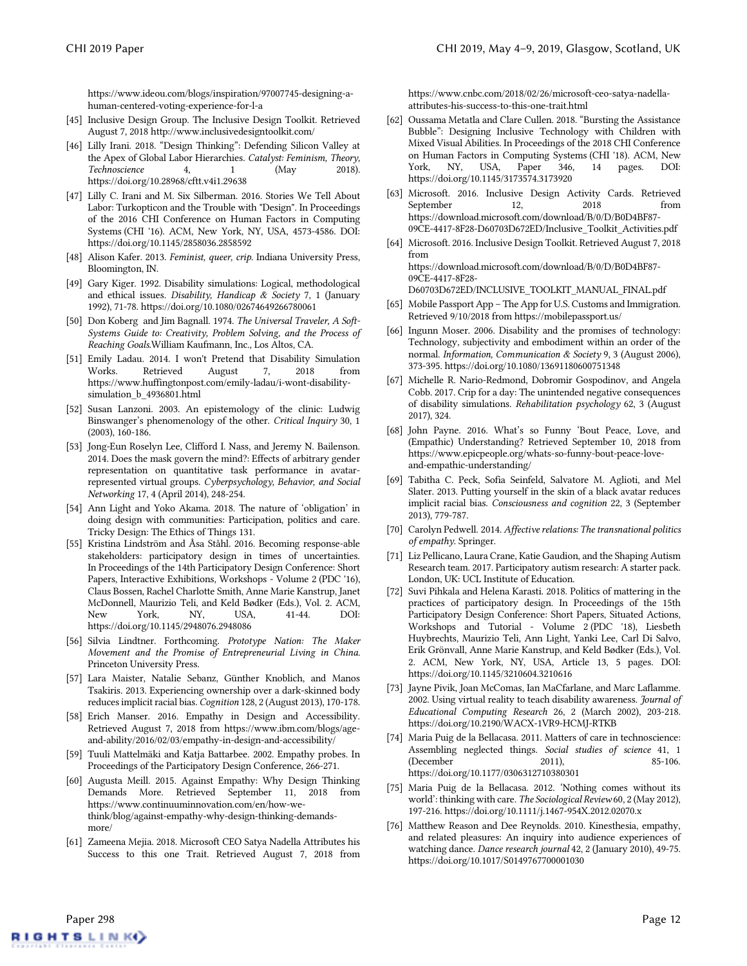[https://www.ideou.com/blogs/inspiration/97007745-designing-a](https://www.ideou.com/blogs/inspiration/97007745-designing-a-human-centered-voting-experience-for-l-a%20Retrieved%209/10/2018)[human-centered-voting-experience-for-l-a](https://www.ideou.com/blogs/inspiration/97007745-designing-a-human-centered-voting-experience-for-l-a%20Retrieved%209/10/2018) 

- <span id="page-11-2"></span>[45] Inclusive Design Group. The Inclusive Design Toolkit. Retrieved August 7, 2018 http://www.inclusivedesigntoolkit.com/
- <span id="page-11-7"></span>[46] Lilly Irani. 2018. "Design Thinking": Defending Silicon Valley at the Apex of Global Labor Hierarchies. *Catalyst: Feminism, Theory, Technoscience* 4, 1 (May 2018). <https://doi.org/10.28968/cftt.v4i1.29638>
- <span id="page-11-8"></span>[47] Lilly C. Irani and M. Six Silberman. 2016. Stories We Tell About Labor: Turkopticon and the Trouble with "Design". In Proceedings of the 2016 CHI Conference on Human Factors in Computing Systems (CHI '16). ACM, New York, NY, USA, 4573-4586. DOI: <https://doi.org/10.1145/2858036.2858592>
- <span id="page-11-4"></span>[48] Alison Kafer. 2013. *Feminist, queer, crip.* Indiana University Press, Bloomington, IN.
- <span id="page-11-5"></span>[49] Gary Kiger. 1992. Disability simulations: Logical, methodological and ethical issues. *Disability, Handicap & Society* 7, 1 (January 1992), 71-78[. https://doi.org/10.1080/02674649266780061](https://doi.org/10.1080/02674649266780061)
- <span id="page-11-0"></span>[50] Don Koberg and Jim Bagnall. 1974. *The Universal Traveler, A Soft-Systems Guide to: Creativity, Problem Solving, and the Process of Reaching Goals.*William Kaufmann, Inc., Los Altos, CA.
- <span id="page-11-6"></span>[51] Emily Ladau. 2014. I won't Pretend that Disability Simulation Works. Retrieved August 7, 2018 from https://www.huffingtonpost.com/emily-ladau/i-wont-disabilitysimulation\_b\_4936801.html
- <span id="page-11-15"></span>[52] Susan Lanzoni. 2003. An epistemology of the clinic: Ludwig Binswanger's phenomenology of the other. *Critical Inquiry* 30, 1 (2003), 160-186.
- <span id="page-11-19"></span>[53] Jong-Eun Roselyn Lee, Clifford I. Nass, and Jeremy N. Bailenson. 2014. Does the mask govern the mind?: Effects of arbitrary gender representation on quantitative task performance in avatarrepresented virtual groups. *Cyberpsychology, Behavior, and Social Networking* 17, 4 (April 2014), 248-254.
- <span id="page-11-10"></span>[54] Ann Light and Yoko Akama. 2018. The nature of 'obligation' in doing design with communities: Participation, politics and care. Tricky Design: The Ethics of Things 131.
- <span id="page-11-11"></span>[55] Kristina Lindström and Åsa Ståhl. 2016. Becoming response-able stakeholders: participatory design in times of uncertainties. In Proceedings of the 14th Participatory Design Conference: Short Papers, Interactive Exhibitions, Workshops - Volume 2 (PDC '16), Claus Bossen, Rachel Charlotte Smith, Anne Marie Kanstrup, Janet McDonnell, Maurizio Teli, and Keld Bødker (Eds.), Vol. 2. ACM, New York, NY, USA, 41-44. DOI: https://doi.org/10.1145/2948076.2948086
- <span id="page-11-9"></span>[56] Silvia Lindtner. Forthcoming. *Prototype Nation: The Maker Movement and the Promise of Entrepreneurial Living in China*. Princeton University Press.
- <span id="page-11-20"></span>[57] Lara Maister, Natalie Sebanz, Günther Knoblich, and Manos Tsakiris. 2013. Experiencing ownership over a dark-skinned body reduces implicit racial bias. *Cognition* 128, 2 (August 2013), 170-178.
- <span id="page-11-18"></span>[58] Erich Manser. 2016. Empathy in Design and Accessibility. Retrieved August 7, 2018 from https://www.ibm.com/blogs/ageand-ability/2016/02/03/empathy-in-design-and-accessibility/
- <span id="page-11-17"></span>[59] Tuuli Mattelmäki and Katja Battarbee. 2002. Empathy probes. In Proceedings of the Participatory Design Conference, 266-271.
- <span id="page-11-25"></span>[60] Augusta Meill. 2015. Against Empathy: Why Design Thinking Demands More. Retrieved September 11, 2018 from [https://www.continuuminnovation.com/en/how-we](https://www.continuuminnovation.com/en/how-we-think/blog/against-empathy-why-design-thinking-demands-more/)[think/blog/against-empathy-why-design-thinking-demands](https://www.continuuminnovation.com/en/how-we-think/blog/against-empathy-why-design-thinking-demands-more/)[more/](https://www.continuuminnovation.com/en/how-we-think/blog/against-empathy-why-design-thinking-demands-more/)
- <span id="page-11-1"></span>[61] Zameena Mejia. 2018. Microsoft CEO Satya Nadella Attributes his Success to this one Trait. Retrieved August 7, 2018 from

[https://www.cnbc.com/2018/02/26/microsoft-ceo-satya-nadella](https://www.cnbc.com/2018/02/26/microsoft-ceo-satya-nadella-attributes-his-success-to-this-one-trait.html%20Retrieved%208/7/2018)[attributes-his-success-to-this-one-trait.html](https://www.cnbc.com/2018/02/26/microsoft-ceo-satya-nadella-attributes-his-success-to-this-one-trait.html%20Retrieved%208/7/2018) 

- <span id="page-11-27"></span>[62] Oussama Metatla and Clare Cullen. 2018. "Bursting the Assistance Bubble": Designing Inclusive Technology with Children with Mixed Visual Abilities. In Proceedings of the 2018 CHI Conference on Human Factors in Computing Systems (CHI '18). ACM, New York, NY, USA, Paper 346, 14 pages. DOI: https://doi.org/10.1145/3173574.3173920
- <span id="page-11-23"></span>[63] Microsoft. 2016. Inclusive Design Activity Cards. Retrieved September 12, 2018 from https://download.microsoft.com/download/B/0/D/B0D4BF87- 09CE-4417-8F28-D60703D672ED/Inclusive\_Toolkit\_Activities.pdf
- <span id="page-11-24"></span>[64] Microsoft. 2016. Inclusive Design Toolkit. Retrieved August 7, 2018 from https://download.microsoft.com/download/B/0/D/B0D4BF87- 09CE-4417-8F28-

D60703D672ED/INCLUSIVE\_TOOLKIT\_MANUAL\_FINAL.pdf

- <span id="page-11-29"></span>[65] Mobile Passport App – The App for U.S. Customs and Immigration. Retrieved 9/10/2018 from https://mobilepassport.us/
- <span id="page-11-3"></span>[66] Ingunn Moser. 2006. Disability and the promises of technology: Technology, subjectivity and embodiment within an order of the normal. *Information, Communication & Society* 9, 3 (August 2006), 373-395[. https://doi.org/10.1080/13691180600751348](https://doi.org/10.1080/13691180600751348)
- <span id="page-11-13"></span>[67] Michelle R. Nario-Redmond, Dobromir Gospodinov, and Angela Cobb. 2017. Crip for a day: The unintended negative consequences of disability simulations. *Rehabilitation psychology* 62, 3 (August 2017), 324.
- <span id="page-11-26"></span>[68] John Payne. 2016. What's so Funny 'Bout Peace, Love, and (Empathic) Understanding? Retrieved September 10, 2018 from https://www.epicpeople.org/whats-so-funny-bout-peace-loveand-empathic-understanding/
- <span id="page-11-21"></span>[69] Tabitha C. Peck, Sofia Seinfeld, Salvatore M. Aglioti, and Mel Slater. 2013. Putting yourself in the skin of a black avatar reduces implicit racial bias. *Consciousness and cognition* 22, 3 (September 2013), 779-787.
- <span id="page-11-14"></span>[70] Carolyn Pedwell. 2014. *Affective relations: The transnational politics of empathy.* Springer.
- <span id="page-11-28"></span>[71] Liz Pellicano, Laura Crane, Katie Gaudion, and the Shaping Autism Research team. 2017. Participatory autism research: A starter pack. London, UK: UCL Institute of Education.
- <span id="page-11-12"></span>[72] Suvi Pihkala and Helena Karasti. 2018. Politics of mattering in the practices of participatory design. In Proceedings of the 15th Participatory Design Conference: Short Papers, Situated Actions, Workshops and Tutorial - Volume 2 (PDC '18), Liesbeth Huybrechts, Maurizio Teli, Ann Light, Yanki Lee, Carl Di Salvo, Erik Grönvall, Anne Marie Kanstrup, and Keld Bødker (Eds.), Vol. 2. ACM, New York, NY, USA, Article 13, 5 pages. DOI: https://doi.org/10.1145/3210604.3210616
- <span id="page-11-22"></span>[73] Jayne Pivik, Joan McComas, Ian MaCfarlane, and Marc Laflamme. 2002. Using virtual reality to teach disability awareness. *Journal of Educational Computing Research* 26, 2 (March 2002), 203-218. [https://doi.org/10.2190/WACX-1VR9-HCMJ-RTKB](https://doi.org/10.2190%2FWACX-1VR9-HCMJ-RTKB)
- <span id="page-11-30"></span>[74] Maria Puig de la Bellacasa. 2011. Matters of care in technoscience: Assembling neglected things. *Social studies of science* 41, 1 (December 2011), 85-106. [https://doi.org/10.1177/0306312710380301](https://doi.org/10.1177%2F0306312710380301)
- <span id="page-11-31"></span>[75] Maria Puig de la Bellacasa. 2012. 'Nothing comes without its world': thinking with care. *The Sociological Review*60, 2 (May 2012), 197-216. [https://doi.org/10.1111/j.1467-954X.2012.02070.x](https://doi.org/10.1111%2Fj.1467-954X.2012.02070.x)
- <span id="page-11-16"></span>[76] Matthew Reason and Dee Reynolds. 2010. Kinesthesia, empathy, and related pleasures: An inquiry into audience experiences of watching dance. *Dance research journal* 42, 2 (January 2010), 49-75. <https://doi.org/10.1017/S0149767700001030>